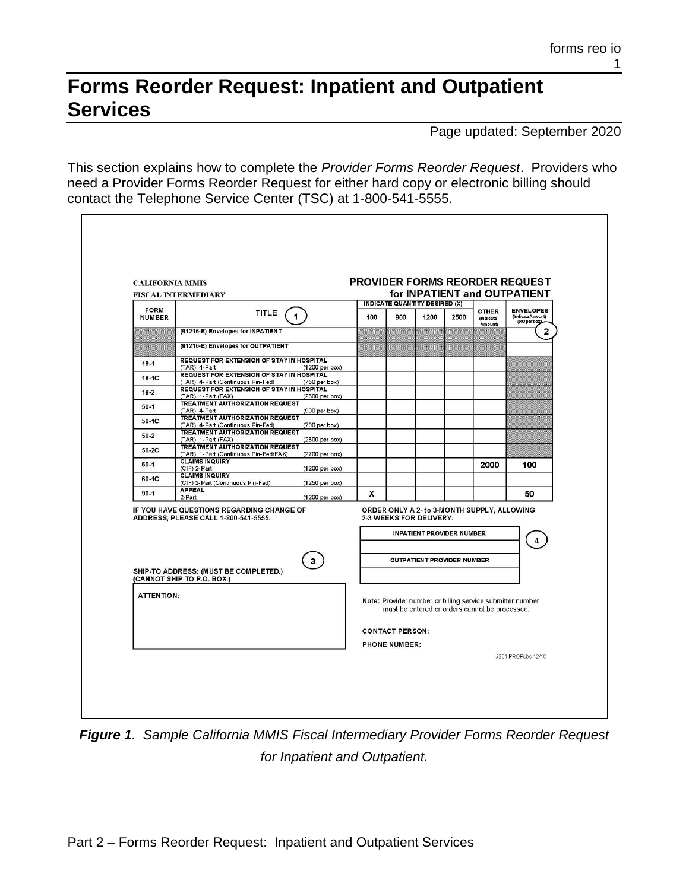## **Forms Reorder Request: Inpatient and Outpatient Services**

Page updated: September 2020

This section explains how to complete the *Provider Forms Reorder Request*. Providers who need a Provider Forms Reorder Request for either hard copy or electronic billing should contact the Telephone Service Center (TSC) at 1-800-541-5555.

| <b>CALIFORNIA MMIS</b><br><b>FISCAL INTERMEDIARY</b> |                                                                                       |                          | PROVIDER FORMS REORDER REQUEST<br>for INPATIENT and OUTPATIENT |                                      |      |                                  |                                                |                                                           |
|------------------------------------------------------|---------------------------------------------------------------------------------------|--------------------------|----------------------------------------------------------------|--------------------------------------|------|----------------------------------|------------------------------------------------|-----------------------------------------------------------|
| <b>FORM</b>                                          |                                                                                       |                          |                                                                | <b>INDICATE QUANTITY DESIRED (X)</b> |      |                                  |                                                | <b>ENVELOPES</b>                                          |
| <b>NUMBER</b>                                        | <b>TITLE</b><br>$\mathbf{1}$                                                          |                          | 100                                                            | 900                                  | 1200 | 2500                             | <b>OTHER</b><br>(Indicate<br>Amount)           | (Indicate Amount)<br>(500 per box)                        |
|                                                      | (91216-E) Envelopes for INPATIENT                                                     |                          |                                                                |                                      |      |                                  |                                                | $\mathbf{2}$                                              |
|                                                      | (91216-E) Envelopes for OUTPATIENT                                                    |                          |                                                                |                                      |      |                                  |                                                |                                                           |
| $18 - 1$                                             | <b>REQUEST FOR EXTENSION OF STAY IN HOSPITAL</b><br>(TAR) 4-Part                      | $(1200 \text{ per box})$ |                                                                |                                      |      |                                  |                                                |                                                           |
| $18-1C$                                              | <b>REQUEST FOR EXTENSION OF STAY IN HOSPITAL</b><br>(TAR) 4-Part (Continuous Pin-Fed) | (750 per box)            |                                                                |                                      |      |                                  |                                                |                                                           |
| $18 - 2$                                             | REQUEST FOR EXTENSION OF STAY IN HOSPITAL<br>(TAR) 1-Part (FAX)                       | (2500 per box)           |                                                                |                                      |      |                                  |                                                |                                                           |
| $50-1$                                               | <b>TREATMENT AUTHORIZATION REQUEST</b><br>(TAR) 4-Part                                | $(900 \text{ per box})$  |                                                                |                                      |      |                                  |                                                |                                                           |
| 50-1C                                                | <b>TREATMENT AUTHORIZATION REQUEST</b><br>(TAR) 4-Part (Continuous Pin-Fed)           | (700 per box)            |                                                                |                                      |      |                                  |                                                |                                                           |
| $50 - 2$                                             | <b>TREATMENT AUTHORIZATION REQUEST</b><br>(TAR) 1-Part (FAX)                          | (2500 per box)           |                                                                |                                      |      |                                  |                                                |                                                           |
| 50-2C                                                | <b>TREATMENT AUTHORIZATION REQUEST</b><br>(TAR) 1-Part (Continuous Pin-Fed/FAX)       | (2700 per box)           |                                                                |                                      |      |                                  |                                                |                                                           |
| $60 - 1$                                             | <b>CLAIMS INQUIRY</b><br>(CIF) 2-Part                                                 | $(1200 \text{ per box})$ |                                                                |                                      |      |                                  | 2000                                           | 100                                                       |
| 60-1C                                                | <b>CLAIMS INQUIRY</b><br>(CIF) 2-Part (Continuous Pin-Fed)                            | $(1250$ per box)         |                                                                |                                      |      |                                  |                                                |                                                           |
| $90 - 1$                                             | <b>APPEAL</b><br>2-Part                                                               | $(1200 \text{ per box})$ | X                                                              |                                      |      |                                  |                                                | 50                                                        |
|                                                      | IF YOU HAVE QUESTIONS REGARDING CHANGE OF                                             |                          |                                                                |                                      |      |                                  | ORDER ONLY A 2- to 3-MONTH SUPPLY, ALLOWING    |                                                           |
| ADDRESS, PLEASE CALL 1-800-541-5555.                 |                                                                                       | 2-3 WEEKS FOR DELIVERY.  |                                                                |                                      |      |                                  |                                                |                                                           |
|                                                      |                                                                                       |                          |                                                                |                                      |      | <b>INPATIENT PROVIDER NUMBER</b> |                                                |                                                           |
|                                                      |                                                                                       | 3                        |                                                                |                                      |      | OUTPATIENT PROVIDER NUMBER       |                                                |                                                           |
|                                                      | SHIP-TO ADDRESS: (MUST BE COMPLETED.)<br>(CANNOT SHIP TO P.O. BOX.)                   |                          |                                                                |                                      |      |                                  |                                                |                                                           |
| <b>ATTENTION:</b>                                    |                                                                                       |                          |                                                                |                                      |      |                                  |                                                |                                                           |
|                                                      |                                                                                       |                          |                                                                |                                      |      |                                  | must be entered or orders cannot be processed. | Note: Provider number or billing service submitter number |
|                                                      |                                                                                       |                          |                                                                | <b>CONTACT PERSON:</b>               |      |                                  |                                                |                                                           |
|                                                      |                                                                                       |                          |                                                                | <b>PHONE NUMBER:</b>                 |      |                                  |                                                |                                                           |
|                                                      |                                                                                       |                          |                                                                |                                      |      |                                  |                                                | #204 PROPubs 12/18                                        |

*Figure 1. Sample California MMIS Fiscal Intermediary Provider Forms Reorder Request for Inpatient and Outpatient.*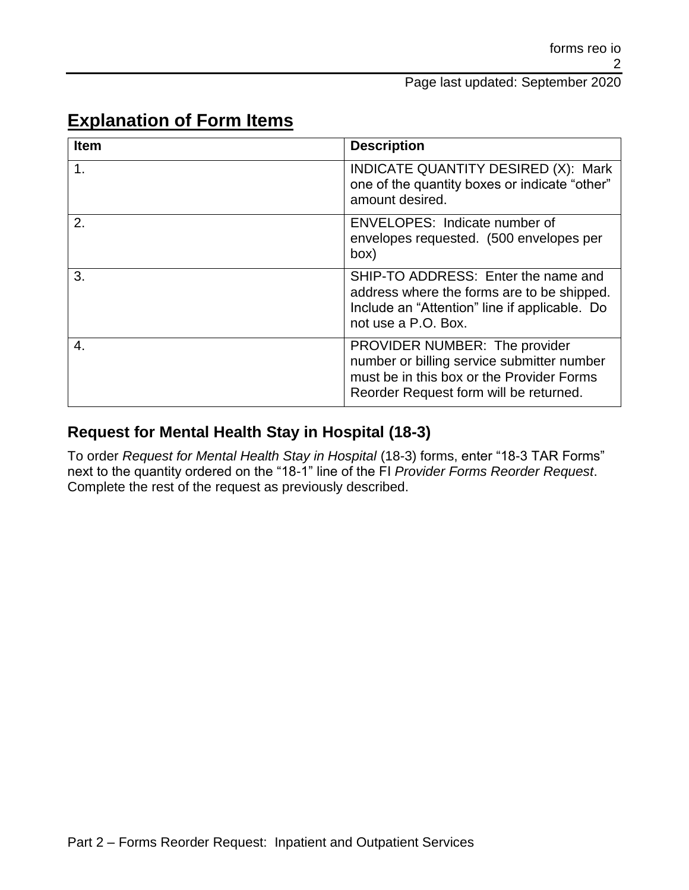| Item             | <b>Description</b>                                                                                                                                                 |  |  |
|------------------|--------------------------------------------------------------------------------------------------------------------------------------------------------------------|--|--|
| 1 <sub>1</sub>   | INDICATE QUANTITY DESIRED (X): Mark<br>one of the quantity boxes or indicate "other"<br>amount desired.                                                            |  |  |
| $\overline{2}$ . | ENVELOPES: Indicate number of<br>envelopes requested. (500 envelopes per<br>box)                                                                                   |  |  |
| 3.               | SHIP-TO ADDRESS: Enter the name and<br>address where the forms are to be shipped.<br>Include an "Attention" line if applicable. Do<br>not use a P.O. Box.          |  |  |
| 4.               | PROVIDER NUMBER: The provider<br>number or billing service submitter number<br>must be in this box or the Provider Forms<br>Reorder Request form will be returned. |  |  |

## **Explanation of Form Items**

## **Request for Mental Health Stay in Hospital (18-3)**

To order *Request for Mental Health Stay in Hospital* (18-3) forms, enter "18-3 TAR Forms" next to the quantity ordered on the "18-1" line of the FI *Provider Forms Reorder Request*. Complete the rest of the request as previously described.